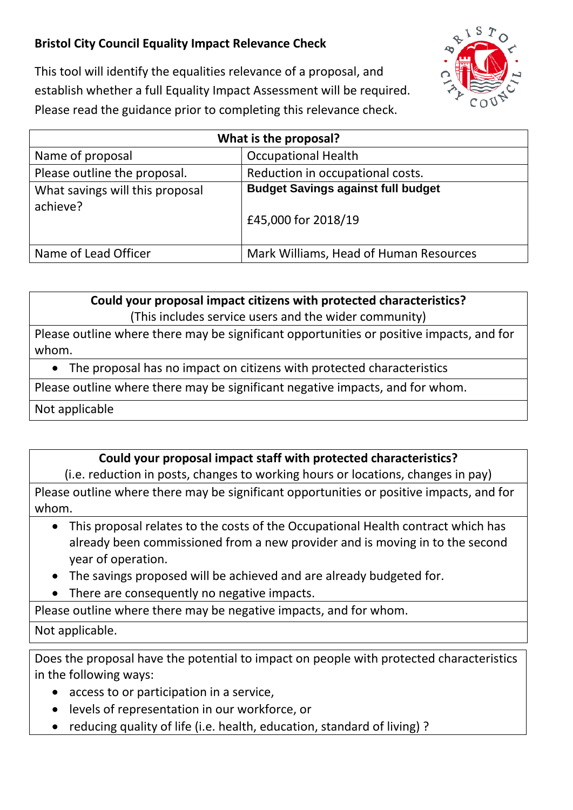## **Bristol City Council Equality Impact Relevance Check**



This tool will identify the equalities relevance of a proposal, and establish whether a full Equality Impact Assessment will be required. Please read the guidance prior to completing this relevance check.

| What is the proposal?                       |                                                                  |
|---------------------------------------------|------------------------------------------------------------------|
| Name of proposal                            | <b>Occupational Health</b>                                       |
| Please outline the proposal.                | Reduction in occupational costs.                                 |
| What savings will this proposal<br>achieve? | <b>Budget Savings against full budget</b><br>£45,000 for 2018/19 |
| Name of Lead Officer                        | Mark Williams, Head of Human Resources                           |

**Could your proposal impact citizens with protected characteristics?** (This includes service users and the wider community)

Please outline where there may be significant opportunities or positive impacts, and for whom.

• The proposal has no impact on citizens with protected characteristics

Please outline where there may be significant negative impacts, and for whom.

Not applicable

## **Could your proposal impact staff with protected characteristics?**

(i.e. reduction in posts, changes to working hours or locations, changes in pay)

Please outline where there may be significant opportunities or positive impacts, and for whom.

- This proposal relates to the costs of the Occupational Health contract which has already been commissioned from a new provider and is moving in to the second year of operation.
- The savings proposed will be achieved and are already budgeted for.
- There are consequently no negative impacts.

Please outline where there may be negative impacts, and for whom.

## Not applicable.

Does the proposal have the potential to impact on people with protected characteristics in the following ways:

- access to or participation in a service,
- levels of representation in our workforce, or
- reducing quality of life (i.e. health, education, standard of living) ?